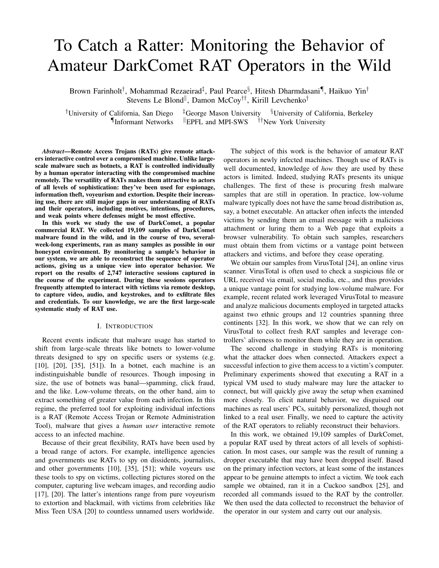# To Catch a Ratter: Monitoring the Behavior of Amateur DarkComet RAT Operators in the Wild

Brown Farinholt<sup>†</sup>, Mohammad Rezaeirad<sup>‡</sup>, Paul Pearce<sup>§</sup>, Hitesh Dharmdasani¶, Haikuo Yin<sup>†</sup> Stevens Le Blond<sup>||</sup>, Damon McCoy<sup>††</sup>, Kirill Levchenko<sup>†</sup>

<sup>†</sup>University of California, San Diego <sup>‡</sup>George Mason University <sup>§</sup>University of California, Berkeley ¶Informant Networks <sup>k</sup>EPFL and MPI-SWS ††New York University

*Abstract*—Remote Access Trojans (RATs) give remote attackers interactive control over a compromised machine. Unlike largescale malware such as botnets, a RAT is controlled individually by a human operator interacting with the compromised machine remotely. The versatility of RATs makes them attractive to actors of all levels of sophistication: they've been used for espionage, information theft, voyeurism and extortion. Despite their increasing use, there are still major gaps in our understanding of RATs and their operators, including motives, intentions, procedures, and weak points where defenses might be most effective.

In this work we study the use of DarkComet, a popular commercial RAT. We collected 19,109 samples of DarkComet malware found in the wild, and in the course of two, severalweek-long experiments, ran as many samples as possible in our honeypot environment. By monitoring a sample's behavior in our system, we are able to reconstruct the sequence of operator actions, giving us a unique view into operator behavior. We report on the results of 2,747 interactive sessions captured in the course of the experiment. During these sessions operators frequently attempted to interact with victims via remote desktop, to capture video, audio, and keystrokes, and to exfiltrate files and credentials. To our knowledge, we are the first large-scale systematic study of RAT use.

#### I. INTRODUCTION

Recent events indicate that malware usage has started to shift from large-scale threats like botnets to lower-volume threats designed to spy on specific users or systems (e.g. [10], [20], [35], [51]). In a botnet, each machine is an indistinguishable bundle of resources. Though imposing in size, the use of botnets was banal—spamming, click fraud, and the like. Low-volume threats, on the other hand, aim to extract something of greater value from each infection. In this regime, the preferred tool for exploiting individual infections is a RAT (Remote Access Trojan or Remote Administration Tool), malware that gives a *human user* interactive remote access to an infected machine.

Because of their great flexibility, RATs have been used by a broad range of actors. For example, intelligence agencies and governments use RATs to spy on dissidents, journalists, and other governments [10], [35], [51]; while voyeurs use these tools to spy on victims, collecting pictures stored on the computer, capturing live webcam images, and recording audio [17], [20]. The latter's intentions range from pure voyeurism to extortion and blackmail, with victims from celebrities like Miss Teen USA [20] to countless unnamed users worldwide.

The subject of this work is the behavior of amateur RAT operators in newly infected machines. Though use of RATs is well documented, knowledge of *how* they are used by these actors is limited. Indeed, studying RATs presents its unique challenges. The first of these is procuring fresh malware samples that are still in operation. In practice, low-volume malware typically does not have the same broad distribution as, say, a botnet executable. An attacker often infects the intended victims by sending them an email message with a malicious attachment or luring them to a Web page that exploits a browser vulnerability. To obtain such samples, researchers must obtain them from victims or a vantage point between attackers and victims, and before they cease operating.

We obtain our samples from VirusTotal [24], an online virus scanner. VirusTotal is often used to check a suspicious file or URL received via email, social media, etc., and thus provides a unique vantage point for studying low-volume malware. For example, recent related work leveraged VirusTotal to measure and analyze malicious documents employed in targeted attacks against two ethnic groups and 12 countries spanning three continents [32]. In this work, we show that we can rely on VirusTotal to collect fresh RAT samples and leverage controllers' aliveness to monitor them while they are in operation.

The second challenge in studying RATs is monitoring what the attacker does when connected. Attackers expect a successful infection to give them access to a victim's computer. Preliminary experiments showed that executing a RAT in a typical VM used to study malware may lure the attacker to connect, but will quickly give away the setup when examined more closely. To elicit natural behavior, we disguised our machines as real users' PCs, suitably personalized, though not linked to a real user. Finally, we need to capture the activity of the RAT operators to reliably reconstruct their behaviors.

In this work, we obtained 19,109 samples of DarkComet, a popular RAT used by threat actors of all levels of sophistication. In most cases, our sample was the result of running a dropper executable that may have been dropped itself. Based on the primary infection vectors, at least some of the instances appear to be genuine attempts to infect a victim. We took each sample we obtained, ran it in a Cuckoo sandbox [25], and recorded all commands issued to the RAT by the controller. We then used the data collected to reconstruct the behavior of the operator in our system and carry out our analysis.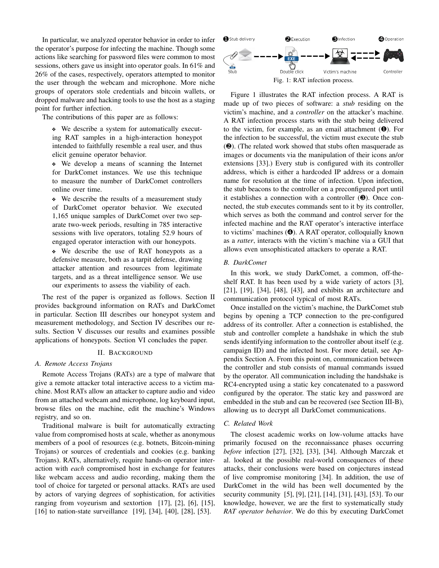In particular, we analyzed operator behavior in order to infer the operator's purpose for infecting the machine. Though some actions like searching for password files were common to most sessions, others gave us insight into operator goals. In 61% and 26% of the cases, respectively, operators attempted to monitor the user through the webcam and microphone. More niche groups of operators stole credentials and bitcoin wallets, or dropped malware and hacking tools to use the host as a staging point for further infection.

The contributions of this paper are as follows:

❖ We describe a system for automatically executing RAT samples in a high-interaction honeypot intended to faithfully resemble a real user, and thus elicit genuine operator behavior.

❖ We develop a means of scanning the Internet for DarkComet instances. We use this technique to measure the number of DarkComet controllers online over time.

❖ We describe the results of a measurement study of DarkComet operator behavior. We executed 1,165 unique samples of DarkComet over two separate two-week periods, resulting in 785 interactive sessions with live operators, totaling 52.9 hours of engaged operator interaction with our honeypots.

❖ We describe the use of RAT honeypots as a defensive measure, both as a tarpit defense, drawing attacker attention and resources from legitimate targets, and as a threat intelligence sensor. We use our experiments to assess the viability of each.

The rest of the paper is organized as follows. Section II provides background information on RATs and DarkComet in particular. Section III describes our honeypot system and measurement methodology, and Section IV describes our results. Section V discusses our results and examines possible applications of honeypots. Section VI concludes the paper.

#### II. BACKGROUND

#### *A. Remote Access Trojans*

Remote Access Trojans (RATs) are a type of malware that give a remote attacker total interactive access to a victim machine. Most RATs allow an attacker to capture audio and video from an attached webcam and microphone, log keyboard input, browse files on the machine, edit the machine's Windows registry, and so on.

Traditional malware is built for automatically extracting value from compromised hosts at scale, whether as anonymous members of a pool of resources (e.g. botnets, Bitcoin-mining Trojans) or sources of credentials and cookies (e.g. banking Trojans). RATs, alternatively, require hands-on operator interaction with *each* compromised host in exchange for features like webcam access and audio recording, making them the tool of choice for targeted or personal attacks. RATs are used by actors of varying degrees of sophistication, for activities ranging from voyeurism and sextortion [17], [2], [6], [15], [16] to nation-state surveillance [19], [34], [40], [28], [53].



Figure 1 illustrates the RAT infection process. A RAT is made up of two pieces of software: a *stub* residing on the victim's machine, and a *controller* on the attacker's machine. A RAT infection process starts with the stub being delivered to the victim, for example, as an email attachment (❶). For the infection to be successful, the victim must execute the stub (❷). (The related work showed that stubs often masquerade as images or documents via the manipulation of their icons an/or extensions [33].) Every stub is configured with its controller address, which is either a hardcoded IP address or a domain name for resolution at the time of infection. Upon infection, the stub beacons to the controller on a preconfigured port until it establishes a connection with a controller (❸). Once connected, the stub executes commands sent to it by its controller, which serves as both the command and control server for the infected machine and the RAT operator's interactive interface to victims' machines (❹). A RAT operator, colloquially known as a *ratter*, interacts with the victim's machine via a GUI that allows even unsophisticated attackers to operate a RAT.

#### *B. DarkComet*

In this work, we study DarkComet, a common, off-theshelf RAT. It has been used by a wide variety of actors [3], [21], [19], [34], [48], [43], and exhibits an architecture and communication protocol typical of most RATs.

Once installed on the victim's machine, the DarkComet stub begins by opening a TCP connection to the pre-configured address of its controller. After a connection is established, the stub and controller complete a handshake in which the stub sends identifying information to the controller about itself (e.g. campaign ID) and the infected host. For more detail, see Appendix Section A. From this point on, communication between the controller and stub consists of manual commands issued by the operator. All communication including the handshake is RC4-encrypted using a static key concatenated to a password configured by the operator. The static key and password are embedded in the stub and can be recovered (see Section III-B), allowing us to decrypt all DarkComet communications.

#### *C. Related Work*

The closest academic works on low-volume attacks have primarily focused on the reconnaissance phases occurring *before* infection [27], [32], [33], [34]. Although Marczak et al. looked at the possible real-world consequences of these attacks, their conclusions were based on conjectures instead of live compromise monitoring [34]. In addition, the use of DarkComet in the wild has been well documented by the security community [5], [9], [21], [14], [31], [43], [53]. To our knowledge, however, we are the first to systematically study *RAT operator behavior*. We do this by executing DarkComet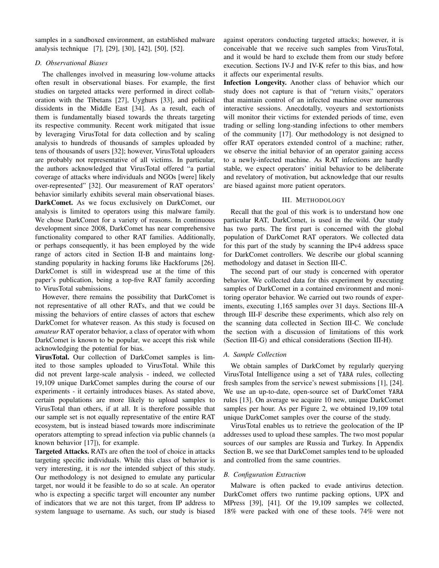samples in a sandboxed environment, an established malware analysis technique [7], [29], [30], [42], [50], [52].

## *D. Observational Biases*

The challenges involved in measuring low-volume attacks often result in observational biases. For example, the first studies on targeted attacks were performed in direct collaboration with the Tibetans [27], Uyghurs [33], and political dissidents in the Middle East [34]. As a result, each of them is fundamentally biased towards the threats targeting its respective community. Recent work mitigated that issue by leveraging VirusTotal for data collection and by scaling analysis to hundreds of thousands of samples uploaded by tens of thousands of users [32]; however, VirusTotal uploaders are probably not representative of all victims. In particular, the authors acknowledged that VirusTotal offered "a partial coverage of attacks where individuals and NGOs [were] likely over-represented" [32]. Our measurement of RAT operators' behavior similarly exhibits several main observational biases. DarkComet. As we focus exclusively on DarkComet, our analysis is limited to operators using this malware family. We chose DarkComet for a variety of reasons. In continuous development since 2008, DarkComet has near comprehensive functionality compared to other RAT families. Additionally, or perhaps consequently, it has been employed by the wide range of actors cited in Section II-B and maintains longstanding popularity in hacking forums like Hackforums [26]. DarkComet is still in widespread use at the time of this paper's publication, being a top-five RAT family according to VirusTotal submissions.

However, there remains the possibility that DarkComet is not representative of all other RATs, and that we could be missing the behaviors of entire classes of actors that eschew DarkComet for whatever reason. As this study is focused on *amateur* RAT operator behavior, a class of operator with whom DarkComet is known to be popular, we accept this risk while acknowledging the potential for bias.

VirusTotal. Our collection of DarkComet samples is limited to those samples uploaded to VirusTotal. While this did not prevent large-scale analysis - indeed, we collected 19,109 unique DarkComet samples during the course of our experiments - it certainly introduces biases. As stated above, certain populations are more likely to upload samples to VirusTotal than others, if at all. It is therefore possible that our sample set is not equally representative of the entire RAT ecosystem, but is instead biased towards more indiscriminate operators attempting to spread infection via public channels (a known behavior [17]), for example.

Targeted Attacks. RATs are often the tool of choice in attacks targeting specific individuals. While this class of behavior is very interesting, it is *not* the intended subject of this study. Our methodology is not designed to emulate any particular target, nor would it be feasible to do so at scale. An operator who is expecting a specific target will encounter any number of indicators that we are not this target, from IP address to system language to username. As such, our study is biased

against operators conducting targeted attacks; however, it is conceivable that we receive such samples from VirusTotal, and it would be hard to exclude them from our study before execution. Sections IV-J and IV-K refer to this bias, and how it affects our experimental results.

Infection Longevity. Another class of behavior which our study does not capture is that of "return visits," operators that maintain control of an infected machine over numerous interactive sessions. Anecdotally, voyeurs and sextortionists will monitor their victims for extended periods of time, even trading or selling long-standing infections to other members of the community [17]. Our methodology is not designed to offer RAT operators extended control of a machine; rather, we observe the initial behavior of an operator gaining access to a newly-infected machine. As RAT infections are hardly stable, we expect operators' initial behavior to be deliberate and revelatory of motivation, but acknowledge that our results are biased against more patient operators.

## III. METHODOLOGY

Recall that the goal of this work is to understand how one particular RAT, DarkComet, is used in the wild. Our study has two parts. The first part is concerned with the global population of DarkComet RAT operators. We collected data for this part of the study by scanning the IPv4 address space for DarkComet controllers. We describe our global scanning methodology and dataset in Section III-C.

The second part of our study is concerned with operator behavior. We collected data for this experiment by executing samples of DarkComet in a contained environment and monitoring operator behavior. We carried out two rounds of experiments, executing 1,165 samples over 31 days. Sections III-A through III-F describe these experiments, which also rely on the scanning data collected in Section III-C. We conclude the section with a discussion of limitations of this work (Section III-G) and ethical considerations (Section III-H).

## *A. Sample Collection*

We obtain samples of DarkComet by regularly querying VirusTotal Intelligence using a set of YARA rules, collecting fresh samples from the service's newest submissions [1], [24]. We use an up-to-date, open-source set of DarkComet YARA rules [13]. On average we acquire 10 new, unique DarkComet samples per hour. As per Figure 2, we obtained 19,109 total unique DarkComet samples over the course of the study.

VirusTotal enables us to retrieve the geolocation of the IP addresses used to upload these samples. The two most popular sources of our samples are Russia and Turkey. In Appendix Section B, we see that DarkComet samples tend to be uploaded and controlled from the same countries.

#### *B. Configuration Extraction*

Malware is often packed to evade antivirus detection. DarkComet offers two runtime packing options, UPX and MPress [39], [41]. Of the 19,109 samples we collected, 18% were packed with one of these tools. 74% were not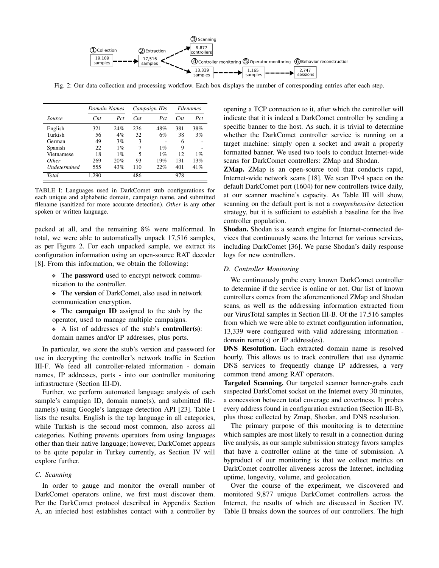

Fig. 2: Our data collection and processing workflow. Each box displays the number of corresponding entries after each step.

|                     | Domain Names |     | Campaign IDs |       | <b>Filenames</b> |       |  |
|---------------------|--------------|-----|--------------|-------|------------------|-------|--|
| Source              | Cnt          | Pct | Cnt          | Pct   | Cnt              | Pct   |  |
| English             | 321          | 24% | 236          | 48%   | 381              | 38%   |  |
| Turkish             | 56           | 4%  | 32           | 6%    | 38               | 3%    |  |
| German              | 49           | 3%  | 3            |       | 6                |       |  |
| Spanish             | 22           | 1%  | 7            | $1\%$ | 9                |       |  |
| Vietnamese          | 18           | 1%  | 5            | $1\%$ | 12               | $1\%$ |  |
| <i>Other</i>        | 269          | 20% | 93           | 19%   | 131              | 13%   |  |
| <b>Undetermined</b> | 555          | 43% | 110          | 22%   | 401              | 41%   |  |
| Total               | .290         |     | 486          |       | 978              |       |  |

TABLE I: Languages used in DarkComet stub configurations for each unique and alphabetic domain, campaign name, and submitted filename (sanitized for more accurate detection). *Other* is any other spoken or written language.

packed at all, and the remaining 8% were malformed. In total, we were able to automatically unpack 17,516 samples, as per Figure 2. For each unpacked sample, we extract its configuration information using an open-source RAT decoder [8]. From this information, we obtain the following:

❖ The password used to encrypt network communication to the controller.

❖ The version of DarkComet, also used in network communication encryption.

❖ The campaign ID assigned to the stub by the operator, used to manage multiple campaigns.

❖ A list of addresses of the stub's controller(s): domain names and/or IP addresses, plus ports.

In particular, we store the stub's version and password for use in decrypting the controller's network traffic in Section III-F. We feed all controller-related information - domain names, IP addresses, ports - into our controller monitoring infrastructure (Section III-D).

Further, we perform automated language analysis of each sample's campaign ID, domain name(s), and submitted filename(s) using Google's language detection API [23]. Table I lists the results. English is the top language in all categories, while Turkish is the second most common, also across all categories. Nothing prevents operators from using languages other than their native language; however, DarkComet appears to be quite popular in Turkey currently, as Section IV will explore further.

## *C. Scanning*

In order to gauge and monitor the overall number of DarkComet operators online, we first must discover them. Per the DarkComet protocol described in Appendix Section A, an infected host establishes contact with a controller by

opening a TCP connection to it, after which the controller will indicate that it is indeed a DarkComet controller by sending a specific banner to the host. As such, it is trivial to determine whether the DarkComet controller service is running on a target machine: simply open a socket and await a properly formatted banner. We used two tools to conduct Internet-wide scans for DarkComet controllers: ZMap and Shodan.

ZMap. ZMap is an open-source tool that conducts rapid, Internet-wide network scans [18]. We scan IPv4 space on the default DarkComet port (1604) for new controllers twice daily, at our scanner machine's capacity. As Table III will show, scanning on the default port is not a *comprehensive* detection strategy, but it is sufficient to establish a baseline for the live controller population.

Shodan. Shodan is a search engine for Internet-connected devices that continuously scans the Internet for various services, including DarkComet [36]. We parse Shodan's daily response logs for new controllers.

## *D. Controller Monitoring*

We continuously probe every known DarkComet controller to determine if the service is online or not. Our list of known controllers comes from the aforementioned ZMap and Shodan scans, as well as the addressing information extracted from our VirusTotal samples in Section III-B. Of the 17,516 samples from which we were able to extract configuration information, 13,339 were configured with valid addressing information domain name(s) or IP address(es).

DNS Resolution. Each extracted domain name is resolved hourly. This allows us to track controllers that use dynamic DNS services to frequently change IP addresses, a very common trend among RAT operators.

Targeted Scanning. Our targeted scanner banner-grabs each suspected DarkComet socket on the Internet every 30 minutes, a concession between total coverage and covertness. It probes every address found in configuration extraction (Section III-B), plus those collected by Zmap, Shodan, and DNS resolution.

The primary purpose of this monitoring is to determine which samples are most likely to result in a connection during live analysis, as our sample submission strategy favors samples that have a controller online at the time of submission. A byproduct of our monitoring is that we collect metrics on DarkComet controller aliveness across the Internet, including uptime, longevity, volume, and geolocation.

Over the course of the experiment, we discovered and monitored 9,877 unique DarkComet controllers across the Internet, the results of which are discussed in Section IV. Table II breaks down the sources of our controllers. The high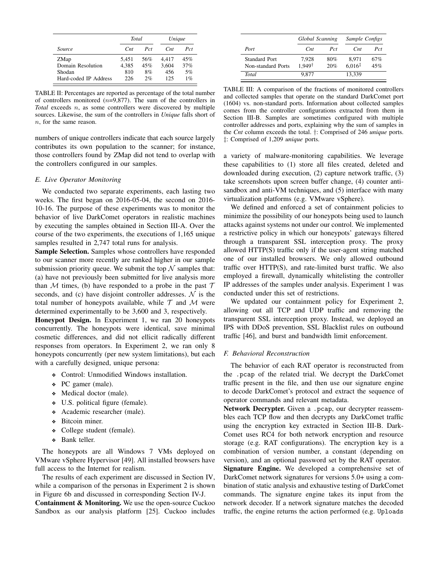|                       | <b>Total</b> |     | Unique |       |
|-----------------------|--------------|-----|--------|-------|
| Source                | Cnt          | Pct | Cnt    | Pct   |
| ZMap                  | 5,451        | 56% | 4.417  | 45%   |
| Domain Resolution     | 4.385        | 45% | 3.604  | 37%   |
| Shodan                | 810          | 8%  | 456    | 5%    |
| Hard-coded IP Address | 226          | 2%  | 125    | $1\%$ |

TABLE II: Percentages are reported as percentage of the total number of controllers monitored  $(n=9,877)$ . The sum of the controllers in *Total* exceeds n, as some controllers were discovered by multiple sources. Likewise, the sum of the controllers in *Unique* falls short of n, for the same reason.

numbers of unique controllers indicate that each source largely contributes its own population to the scanner; for instance, those controllers found by ZMap did not tend to overlap with the controllers configured in our samples.

#### *E. Live Operator Monitoring*

We conducted two separate experiments, each lasting two weeks. The first began on 2016-05-04, the second on 2016- 10-16. The purpose of these experiments was to monitor the behavior of live DarkComet operators in realistic machines by executing the samples obtained in Section III-A. Over the course of the two experiments, the executions of 1,165 unique samples resulted in 2,747 total runs for analysis.

Sample Selection. Samples whose controllers have responded to our scanner more recently are ranked higher in our sample submission priority queue. We submit the top  $\mathcal N$  samples that: (a) have not previously been submitted for live analysis more than M times, (b) have responded to a probe in the past  $\mathcal T$ seconds, and (c) have disjoint controller addresses.  $N$  is the total number of honeypots available, while  $T$  and  $M$  were determined experimentally to be 3,600 and 3, respectively.

Honeypot Design. In Experiment 1, we ran 20 honeypots concurrently. The honeypots were identical, save minimal cosmetic differences, and did not ellicit radically different responses from operators. In Experiment 2, we ran only 8 honeypots concurrently (per new system limitations), but each with a carefully designed, unique persona:

- ❖ Control: Unmodified Windows installation.
- ❖ PC gamer (male).
- ❖ Medical doctor (male).
- ❖ U.S. political figure (female).
- ❖ Academic researcher (male).
- ❖ Bitcoin miner.
- ❖ College student (female).
- ❖ Bank teller.

The honeypots are all Windows 7 VMs deployed on VMware vSphere Hypervisor [49]. All installed browsers have full access to the Internet for realism.

The results of each experiment are discussed in Section IV, while a comparison of the personas in Experiment 2 is shown in Figure 6b and discussed in corresponding Section IV-J.

Containment & Monitoring. We use the open-source Cuckoo Sandbox as our analysis platform [25]. Cuckoo includes

|                                     | Global Scanning            |            | Sample Configs              |            |  |
|-------------------------------------|----------------------------|------------|-----------------------------|------------|--|
| Port                                | Cnt                        | Pct        | Cnt                         | Pct        |  |
| Standard Port<br>Non-standard Ports | 7.928<br>$1.949^{\dagger}$ | 80%<br>20% | 8.971<br>$6.016^{\ddagger}$ | 67%<br>45% |  |
| Total                               | 9877                       |            | 13.339                      |            |  |

TABLE III: A comparison of the fractions of monitored controllers and collected samples that operate on the standard DarkComet port (1604) vs. non-standard ports. Information about collected samples comes from the controller configurations extracted from them in Section III-B. Samples are sometimes configured with multiple controller addresses and ports, explaining why the sum of samples in the *Cnt* column exceeds the total. †: Comprised of 246 *unique* ports. ‡: Comprised of 1,209 *unique* ports.

a variety of malware-monitoring capabilities. We leverage these capabilities to (1) store all files created, deleted and downloaded during execution, (2) capture network traffic, (3) take screenshots upon screen buffer change, (4) counter antisandbox and anti-VM techniques, and  $(5)$  interface with many virtualization platforms (e.g. VMware vSphere).

We defined and enforced a set of containment policies to minimize the possibility of our honeypots being used to launch attacks against systems not under our control. We implemented a restrictive policy in which our honeypots' gateways filtered through a transparent SSL interception proxy. The proxy allowed HTTP(S) traffic only if the user-agent string matched one of our installed browsers. We only allowed outbound traffic over HTTP(S), and rate-limited burst traffic. We also employed a firewall, dynamically whitelisting the controller IP addresses of the samples under analysis. Experiment 1 was conducted under this set of restrictions.

We updated our containment policy for Experiment 2, allowing out all TCP and UDP traffic and removing the transparent SSL interception proxy. Instead, we deployed an IPS with DDoS prevention, SSL Blacklist rules on outbound traffic [46], and burst and bandwidth limit enforcement.

## *F. Behavioral Reconstruction*

The behavior of each RAT operator is reconstructed from the .pcap of the related trial. We decrypt the DarkComet traffic present in the file, and then use our signature engine to decode DarkComet's protocol and extract the sequence of operator commands and relevant metadata.

Network Decrypter. Given a .pcap, our decrypter reassembles each TCP flow and then decrypts any DarkComet traffic using the encryption key extracted in Section III-B. Dark-Comet uses RC4 for both network encryption and resource storage (e.g. RAT configurations). The encryption key is a combination of version number, a constant (depending on version), and an optional password set by the RAT operator. Signature Engine. We developed a comprehensive set of DarkComet network signatures for versions 5.0+ using a combination of static analysis and exhaustive testing of DarkComet commands. The signature engine takes its input from the network decoder. If a network signature matches the decoded traffic, the engine returns the action performed (e.g. Uploads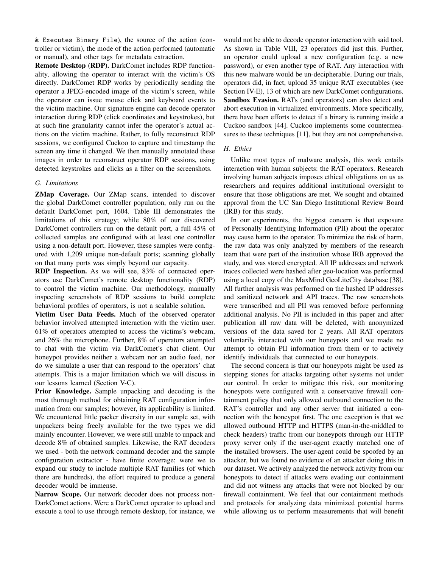& Executes Binary File), the source of the action (controller or victim), the mode of the action performed (automatic or manual), and other tags for metadata extraction.

Remote Desktop (RDP). DarkComet includes RDP functionality, allowing the operator to interact with the victim's OS directly. DarkComet RDP works by periodically sending the operator a JPEG-encoded image of the victim's screen, while the operator can issue mouse click and keyboard events to the victim machine. Our signature engine can decode operator interaction during RDP (click coordinates and keystrokes), but at such fine granularity cannot infer the operator's actual actions on the victim machine. Rather, to fully reconstruct RDP sessions, we configured Cuckoo to capture and timestamp the screen any time it changed. We then manually annotated these images in order to reconstruct operator RDP sessions, using detected keystrokes and clicks as a filter on the screenshots.

#### *G. Limitations*

ZMap Coverage. Our ZMap scans, intended to discover the global DarkComet controller population, only run on the default DarkComet port, 1604. Table III demonstrates the limitations of this strategy; while 80% of our discovered DarkComet controllers run on the default port, a full 45% of collected samples are configured with at least one controller using a non-default port. However, these samples were configured with 1,209 unique non-default ports; scanning globally on that many ports was simply beyond our capacity.

RDP Inspection. As we will see, 83% of connected operators use DarkComet's remote desktop functionality (RDP) to control the victim machine. Our methodology, manually inspecting screenshots of RDP sessions to build complete behavioral profiles of operators, is not a scalable solution.

Victim User Data Feeds. Much of the observed operator behavior involved attempted interaction with the victim user. 61% of operators attempted to access the victims's webcam, and 26% the microphone. Further, 8% of operators attempted to chat with the victim via DarkComet's chat client. Our honeypot provides neither a webcam nor an audio feed, nor do we simulate a user that can respond to the operators' chat attempts. This is a major limitation which we will discuss in our lessons learned (Section V-C).

Prior Knowledge. Sample unpacking and decoding is the most thorough method for obtaining RAT configuration information from our samples; however, its applicability is limited. We encountered little packer diversity in our sample set, with unpackers being freely available for the two types we did mainly encounter. However, we were still unable to unpack and decode 8% of obtained samples. Likewise, the RAT decoders we used - both the network command decoder and the sample configuration extractor - have finite coverage; were we to expand our study to include multiple RAT families (of which there are hundreds), the effort required to produce a general decoder would be immense.

Narrow Scope. Our network decoder does not process non-DarkComet actions. Were a DarkComet operator to upload and execute a tool to use through remote desktop, for instance, we

would not be able to decode operator interaction with said tool. As shown in Table VIII, 23 operators did just this. Further, an operator could upload a new configuration (e.g. a new password), or even another type of RAT. Any interaction with this new malware would be un-decipherable. During our trials, operators did, in fact, upload 35 unique RAT executables (see Section IV-E), 13 of which are new DarkComet configurations. Sandbox Evasion. RATs (and operators) can also detect and abort execution in virtualized environments. More specifically, there have been efforts to detect if a binary is running inside a Cuckoo sandbox [44]. Cuckoo implements some countermeasures to these techniques [11], but they are not comprehensive.

## *H. Ethics*

Unlike most types of malware analysis, this work entails interaction with human subjects: the RAT operators. Research involving human subjects imposes ethical obligations on us as researchers and requires additional institutional oversight to ensure that those obligations are met. We sought and obtained approval from the UC San Diego Institutional Review Board (IRB) for this study.

In our experiments, the biggest concern is that exposure of Personally Identifying Information (PII) about the operator may cause harm to the operator. To minimize the risk of harm, the raw data was only analyzed by members of the research team that were part of the institution whose IRB approved the study, and was stored encrypted. All IP addresses and network traces collected were hashed after geo-location was performed using a local copy of the MaxMind GeoLiteCity database [38]. All further analysis was performed on the hashed IP addresses and sanitized network and API traces. The raw screenshots were transcribed and all PII was removed before performing additional analysis. No PII is included in this paper and after publication all raw data will be deleted, with anonymized versions of the data saved for 2 years. All RAT operators voluntarily interacted with our honeypots and we made no attempt to obtain PII information from them or to actively identify individuals that connected to our honeypots.

The second concern is that our honeypots might be used as stepping stones for attacks targeting other systems not under our control. In order to mitigate this risk, our monitoring honeypots were configured with a conservative firewall containment policy that only allowed outbound connection to the RAT's controller and any other server that initiated a connection with the honeypot first. The one exception is that we allowed outbound HTTP and HTTPS (man-in-the-middled to check headers) traffic from our honeypots through our HTTP proxy server only if the user-agent exactly matched one of the installed browsers. The user-agent could be spoofed by an attacker, but we found no evidence of an attacker doing this in our dataset. We actively analyzed the network activity from our honeypots to detect if attacks were evading our containment and did not witness any attacks that were not blocked by our firewall containment. We feel that our containment methods and protocols for analyzing data minimized potential harms while allowing us to perform measurements that will benefit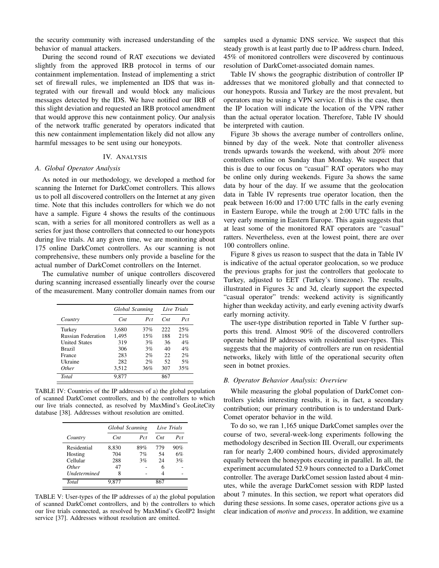the security community with increased understanding of the behavior of manual attackers.

During the second round of RAT executions we deviated slightly from the approved IRB protocol in terms of our containment implementation. Instead of implementing a strict set of firewall rules, we implemented an IDS that was integrated with our firewall and would block any malicious messages detected by the IDS. We have notified our IRB of this slight deviation and requested an IRB protocol amendment that would approve this new containment policy. Our analysis of the network traffic generated by operators indicated that this new containment implementation likely did not allow any harmful messages to be sent using our honeypots.

## IV. ANALYSIS

#### *A. Global Operator Analysis*

As noted in our methodology, we developed a method for scanning the Internet for DarkComet controllers. This allows us to poll all discovered controllers on the Internet at any given time. Note that this includes controllers for which we do not have a sample. Figure 4 shows the results of the continuous scan, with a series for all monitored controllers as well as a series for just those controllers that connected to our honeypots during live trials. At any given time, we are monitoring about 175 online DarkComet controllers. As our scanning is not comprehensive, these numbers only provide a baseline for the actual number of DarkComet controllers on the Internet.

The cumulative number of unique controllers discovered during scanning increased essentially linearly over the course of the measurement. Many controller domain names from our

|                           | Global Scanning |     | Live Trials |       |  |
|---------------------------|-----------------|-----|-------------|-------|--|
| Country                   | Cnt             | Pct | Cnt         | Pct   |  |
| Turkey                    | 3,680           | 37% | 222         | 25%   |  |
| <b>Russian Federation</b> | 1.495           | 15% | 188         | 21%   |  |
| <b>United States</b>      | 319             | 3%  | 36          | $4\%$ |  |
| Brazil                    | 306             | 3%  | 40          | $4\%$ |  |
| France                    | 283             | 2%  | 22          | 2%    |  |
| Ukraine                   | 282             | 2%  | 52          | 5%    |  |
| Other                     | 3.512           | 36% | 307         | 35%   |  |
| Total                     | 9.877           |     | 867         |       |  |

TABLE IV: Countries of the IP addresses of a) the global population of scanned DarkComet controllers, and b) the controllers to which our live trials connected, as resolved by MaxMind's GeoLiteCity database [38]. Addresses without resolution are omitted.

|                     |       | Live Trials<br>Global Scanning |     |     |
|---------------------|-------|--------------------------------|-----|-----|
| Country             | Cnt   | Pct                            | Cnt | Pct |
| Residential         | 8.830 | 89%                            | 779 | 90% |
| Hosting             | 704   | 7%                             | 54  | 6%  |
| Cellular            | 288   | 3%                             | 24  | 3%  |
| Other               | 47    |                                | 6   |     |
| <b>Undetermined</b> | 8     |                                | 4   |     |
| Total               | 9.877 |                                | 867 |     |

TABLE V: User-types of the IP addresses of a) the global population of scanned DarkComet controllers, and b) the controllers to which our live trials connected, as resolved by MaxMind's GeoIP2 Insight service [37]. Addresses without resolution are omitted.

samples used a dynamic DNS service. We suspect that this steady growth is at least partly due to IP address churn. Indeed, 45% of monitored controllers were discovered by continuous resolution of DarkComet-associated domain names.

Table IV shows the geographic distribution of controller IP addresses that we monitored globally and that connected to our honeypots. Russia and Turkey are the most prevalent, but operators may be using a VPN service. If this is the case, then the IP location will indicate the location of the VPN rather than the actual operator location. Therefore, Table IV should be interpreted with caution.

Figure 3b shows the average number of controllers online, binned by day of the week. Note that controller aliveness trends upwards towards the weekend, with about 20% more controllers online on Sunday than Monday. We suspect that this is due to our focus on "casual" RAT operators who may be online only during weekends. Figure 3a shows the same data by hour of the day. If we assume that the geolocation data in Table IV represents true operator location, then the peak between 16:00 and 17:00 UTC falls in the early evening in Eastern Europe, while the trough at 2:00 UTC falls in the very early morning in Eastern Europe. This again suggests that at least some of the monitored RAT operators are "casual" ratters. Nevertheless, even at the lowest point, there are over 100 controllers online.

Figure 8 gives us reason to suspect that the data in Table IV is indicative of the actual operator geolocation, so we produce the previous graphs for just the controllers that geolocate to Turkey, adjusted to EET (Turkey's timezone). The results, illustrated in Figures 3c and 3d, clearly support the expected "casual operator" trends: weekend activity is significantly higher than weekday activity, and early evening activity dwarfs early morning activity.

The user-type distribution reported in Table V further supports this trend. Almost 90% of the discovered controllers operate behind IP addresses with residential user-types. This suggests that the majority of controllers are run on residential networks, likely with little of the operational security often seen in botnet proxies.

#### *B. Operator Behavior Analysis: Overview*

While measuring the global population of DarkComet controllers yields interesting results, it is, in fact, a secondary contribution; our primary contribution is to understand Dark-Comet operator behavior in the wild.

To do so, we ran 1,165 unique DarkComet samples over the course of two, several-week-long experiments following the methodology described in Section III. Overall, our experiments ran for nearly 2,400 combined hours, divided approximately equally between the honeypots executing in parallel. In all, the experiment accumulated 52.9 hours connected to a DarkComet controller. The average DarkComet session lasted about 4 minutes, while the average DarkComet session with RDP lasted about 7 minutes. In this section, we report what operators did during these sessions. In some cases, operator actions give us a clear indication of *motive* and *process*. In addition, we examine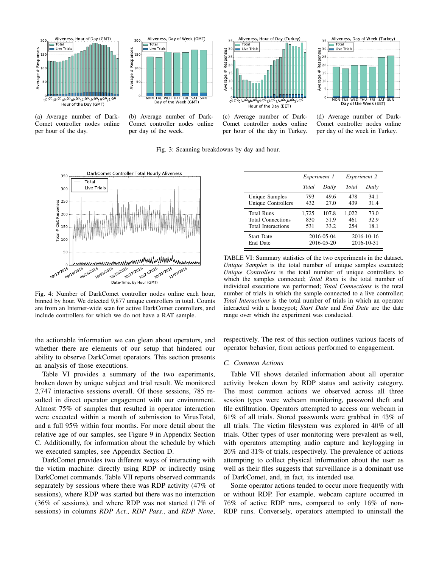



(a) Average number of Dark-Comet controller nodes online per hour of the day.

(b) Average number of Dark-Comet controller nodes online per day of the week.



(c) Average number of Dark-Comet controller nodes online per hour of the day in Turkey.

MON TUE WED THU FRI SAT SUN Day of the Week (EET) 0∟1 5  $10$   $-$ 15 20 25  $30 \begin{array}{|l|}\n\hline\n\end{array}$  Total Live Trials  $\begin{array}{|l|}\n\hline\n\end{array}$ 35 Aliveness, Average # Responses<br>a b b b b a<br>b c b c c e Day of Week (Turkey)

(d) Average number of Dark-Comet controller nodes online per day of the week in Turkey.





Fig. 4: Number of DarkComet controller nodes online each hour, binned by hour. We detected 9,877 unique controllers in total. Counts are from an Internet-wide scan for active DarkComet controllers, and include controllers for which we do not have a RAT sample.

the actionable information we can glean about operators, and whether there are elements of our setup that hindered our ability to observe DarkComet operators. This section presents an analysis of those executions.

Table VI provides a summary of the two experiments, broken down by unique subject and trial result. We monitored 2,747 interactive sessions overall. Of those sessions, 785 resulted in direct operator engagement with our environment. Almost 75% of samples that resulted in operator interaction were executed within a month of submission to VirusTotal, and a full 95% within four months. For more detail about the relative age of our samples, see Figure 9 in Appendix Section C. Additionally, for information about the schedule by which we executed samples, see Appendix Section D.

DarkComet provides two different ways of interacting with the victim machine: directly using RDP or indirectly using DarkComet commands. Table VII reports observed commands separately by sessions where there was RDP activity (47% of sessions), where RDP was started but there was no interaction (36% of sessions), and where RDP was not started (17% of sessions) in columns *RDP Act.*, *RDP Pass.*, and *RDP None*,

|                           |              | Experiment 1 | Experiment 2             |       |  |
|---------------------------|--------------|--------------|--------------------------|-------|--|
|                           | <b>Total</b> | Daily        | <b>Total</b>             | Daily |  |
| Unique Samples            | 793          | 49.6         | 478                      | 34.1  |  |
| <b>Unique Controllers</b> | 432          | 27.0         | 439                      | 31.4  |  |
| <b>Total Runs</b>         | 1,725        | 107.8        | 1.022                    | 73.0  |  |
| <b>Total Connections</b>  | 830          | 51.9         | 461                      | 32.9  |  |
| <b>Total Interactions</b> | 531          | 33.2         | 254                      | 18.1  |  |
| <b>Start Date</b>         |              | 2016-05-04   | 2016-10-16<br>2016-10-31 |       |  |
| <b>End Date</b>           |              | 2016-05-20   |                          |       |  |

TABLE VI: Summary statistics of the two experiments in the dataset. *Unique Samples* is the total number of unique samples executed; *Unique Controllers* is the total number of unique controllers to which the samples connected; *Total Runs* is the total number of individual executions we performed; *Total Connections* is the total number of trials in which the sample connected to a live controller; *Total Interactions* is the total number of trials in which an operator interacted with a honeypot; *Start Date* and *End Date* are the date range over which the experiment was conducted.

respectively. The rest of this section outlines various facets of operator behavior, from actions performed to engagement.

#### *C. Common Actions*

Table VII shows detailed information about all operator activity broken down by RDP status and activity category. The most common actions we observed across all three session types were webcam monitoring, password theft and file exfiltration. Operators attempted to access our webcam in 61% of all trials. Stored passwords were grabbed in 43% of all trials. The victim filesystem was explored in 40% of all trials. Other types of user monitoring were prevalent as well, with operators attempting audio capture and keylogging in 26% and 31% of trials, respectively. The prevalence of actions attempting to collect physical information about the user as well as their files suggests that surveillance is a dominant use of DarkComet, and, in fact, its intended use.

Some operator actions tended to occur more frequently with or without RDP. For example, webcam capture occurred in 76% of active RDP runs, compared to only 16% of non-RDP runs. Conversely, operators attempted to uninstall the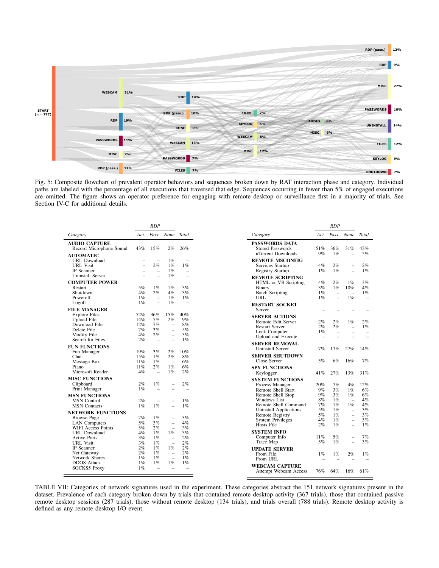

Fig. 5: Composite flowchart of prevalent operator behaviors and sequences broken down by RAT interaction phase and category. Individual paths are labeled with the percentage of all executions that traversed that edge. Sequences occurring in fewer than 5% of engaged executions are omitted. The figure shows an operator preference for engaging with remote desktop or surveillance first in a majority of trials. See Section IV-C for additional details.

|                                                                                                        |                                     | <b>RDP</b>                                                             |                                                                           |                                                 |                                                                                                             |                        | <b>RDP</b>                        |                                                            |     |
|--------------------------------------------------------------------------------------------------------|-------------------------------------|------------------------------------------------------------------------|---------------------------------------------------------------------------|-------------------------------------------------|-------------------------------------------------------------------------------------------------------------|------------------------|-----------------------------------|------------------------------------------------------------|-----|
| Category                                                                                               | Act.                                |                                                                        | Pass. None Total                                                          |                                                 | Category                                                                                                    |                        |                                   | Act. Pass. None Total                                      |     |
| <b>AUDIO CAPTURE</b><br>Record Microphone Sound                                                        | 43%                                 | 15%                                                                    | 2%                                                                        | 26%                                             | <b>PASSWORDS DATA</b><br><b>Stored Passwords</b><br>uTorrent Downloads                                      | 51%<br>9%              | 36%<br>1%                         | 31%                                                        | 43% |
| <b>AUTOMATIC</b><br><b>URL</b> Download<br>URL Visit<br>IP Scanner<br>Uninstall Server                 |                                     | $\overline{\phantom{0}}$<br>2%<br>$\overline{\phantom{0}}$<br>$\equiv$ | 1%<br>1%<br>$1\%$<br>1%                                                   | $\equiv$<br>1%<br>$\qquad \qquad -$<br>$\equiv$ | <b>REMOTE MSCONFIG</b><br>Services Startup<br><b>Registry Startup</b>                                       | 4%<br>1%               | 2%<br>1%                          | $\overline{\phantom{0}}$                                   |     |
| <b>COMPUTER POWER</b>                                                                                  |                                     |                                                                        |                                                                           |                                                 | <b>REMOTE SCRIPTING</b><br>HTML or VB Scripting                                                             | 4%                     | 2%                                | 1%                                                         |     |
| Restart<br>Shutdown<br>Poweroff                                                                        | 5%<br>$4\%$<br>$1\%$                | $1\%$<br>2%<br>$\equiv$<br>$\equiv$                                    | $1\%$<br>4%<br>$1\%$                                                      | 3%<br>3%<br>$1\%$                               | Binary<br>Batch Scripting<br>URL                                                                            | 3%<br>1%<br>1%         | $1\%$<br>$\overline{\phantom{m}}$ | 10%<br>$\equiv$<br>1%                                      |     |
| Logoff<br><b>FILE MANAGER</b>                                                                          | 1%                                  |                                                                        | 1%                                                                        | $\equiv$                                        | <b>RESTART SOCKET</b><br>Server                                                                             |                        |                                   |                                                            |     |
| <b>Explore Files</b><br>Upload File<br>Download File<br>Delete File<br>Modify File<br>Search for Files | 52%<br>14%<br>12%<br>7%<br>4%<br>2% | 36%<br>5%<br>7%<br>3%<br>2%<br>$\equiv$                                | 15%<br>2%<br>$\equiv$<br>$\equiv$<br>$\overline{\phantom{a}}$<br>$\equiv$ | 40%<br>9%<br>8%<br>5%<br>3%<br>1%               | <b>SERVER ACTIONS</b><br>Remote Edit Server<br><b>Restart Server</b><br>Lock Computer<br>Upload and Execute | 2%<br>2%<br>$1\%$<br>÷ | 2%<br>2%<br>÷                     | $1\%$<br>$\equiv$                                          |     |
| <b>FUN FUNCTIONS</b><br>Fun Manager                                                                    | 19%                                 | 3%                                                                     | 2%                                                                        | 10%                                             | <b>SERVER REMOVAL</b><br><b>Uninstall Server</b>                                                            | 7%                     | 17%                               | 27%                                                        | 14% |
| Chat<br>Message Box                                                                                    | 15%<br>11%                          | 1%<br>$1\%$                                                            | 2%<br>$\overline{\phantom{0}}$                                            | 8%<br>6%                                        | <b>SERVER SHUTDOWN</b><br>Close Server                                                                      | 5%                     | 6%                                | 16%                                                        |     |
| Piano<br>Microsoft Reader                                                                              | 11%<br>4%                           | 2%<br>$\equiv$                                                         | $1\%$<br>$1\%$                                                            | 6%<br>2%                                        | <b>SPY FUNCTIONS</b><br>Keylogger                                                                           | 41%                    | 27%                               | 13%                                                        | 31% |
| <b>MISC FUNCTIONS</b><br>Clipboard<br>Print Manager<br><b>MSN FUNCTIONS</b>                            | 2%<br>$1\%$                         | 1%<br>$\qquad \qquad -$                                                | $\equiv$<br>$\overline{\phantom{0}}$                                      | 2%<br>$\overline{\phantom{0}}$                  | <b>SYSTEM FUNCTIONS</b><br>Process Manager<br>Remote Shell Start<br>Remote Shell Stop                       | 20%<br>9%<br>9%        | 7%<br>3%<br>3%                    | 4%<br>$1\%$<br>$1\%$                                       | 12% |
| <b>MSN</b> Control<br><b>MSN</b> Contacts                                                              | 2%<br>$1\%$                         | $\equiv$<br>1%                                                         | $\equiv$                                                                  | 1%<br>$1\%$                                     | <b>Windows List</b><br>Remote Shell Command<br>Uninstall Applications                                       | 8%<br>7%<br>5%         | 1%<br>1%<br>$1\%$                 | $\overline{\phantom{m}}$<br>1%<br>$\overline{\phantom{m}}$ |     |
| <b>NETWORK FUNCTIONS</b><br><b>Browse Page</b><br><b>LAN</b> Computers                                 | 7%<br>5%                            | 1%<br>3%                                                               | $\overline{\phantom{0}}$<br>$\equiv$                                      | 3%<br>$4\%$                                     | Remote Registry<br><b>System Privileges</b><br>Hosts File                                                   | 5%<br>4%<br>2%         | $1\%$<br>$1\%$<br>1%              | $\overline{\phantom{0}}$<br>$\equiv$                       |     |
| <b>WIFI Access Points</b><br><b>URL</b> Download<br><b>Active Ports</b><br><b>URL</b> Visit            | 5%<br>4%<br>3%<br>3%                | 2%<br>1%<br>1%<br>1%                                                   | $\equiv$<br>$1\%$<br>$\overline{\phantom{a}}$<br>$\equiv$                 | 3%<br>3%<br>2%<br>2%                            | <b>SYSTEM INFO</b><br>Computer Info<br>Trace Map                                                            | 11%<br>5%              | 5%<br>1%                          | $\overline{\phantom{0}}$                                   |     |
| IP Scanner<br>Net Gateway<br><b>Network Shares</b><br><b>DDOS</b> Attack                               | 2%<br>2%<br>$1\%$<br>$1\%$          | 1%<br>1%<br>1%<br>1%                                                   | 1%<br>$\overline{\phantom{a}}$<br>$\equiv$<br>$1\%$                       | 2%<br>2%<br>$1\%$<br>$1\%$                      | <b>UPDATE SERVER</b><br>From File<br>From URL                                                               | 1%                     | $1\%$                             | 2%                                                         |     |
| <b>SOCKS5 Proxy</b>                                                                                    | 1%                                  | $\equiv$                                                               | $\equiv$                                                                  |                                                 | <b>WEBCAM CAPTURE</b><br><b>Attempt Webcam Access</b>                                                       | 76%                    | 64%                               | 16%                                                        | 61% |

TABLE VII: Categories of network signatures used in the experiment. These categories abstract the 151 network signatures present in the dataset. Prevalence of each category broken down by trials that contained remote desktop activity (367 trials), those that contained passive remote desktop sessions (287 trials), those without remote desktop (134 trials), and trials overall (788 trials). Remote desktop activity is defined as any remote desktop I/O event.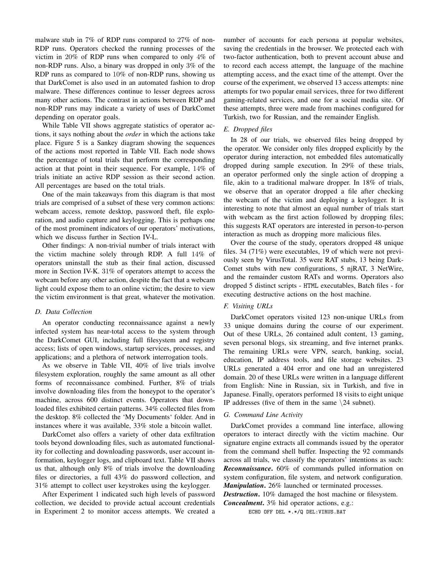malware stub in 7% of RDP runs compared to 27% of non-RDP runs. Operators checked the running processes of the victim in 20% of RDP runs when compared to only 4% of non-RDP runs. Also, a binary was dropped in only 3% of the RDP runs as compared to 10% of non-RDP runs, showing us that DarkComet is also used in an automated fashion to drop malware. These differences continue to lesser degrees across many other actions. The contrast in actions between RDP and non-RDP runs may indicate a variety of uses of DarkComet depending on operator goals.

While Table VII shows aggregate statistics of operator actions, it says nothing about the *order* in which the actions take place. Figure 5 is a Sankey diagram showing the sequences of the actions most reported in Table VII. Each node shows the percentage of total trials that perform the corresponding action at that point in their sequence. For example, 14% of trials initiate an active RDP session as their second action. All percentages are based on the total trials.

One of the main takeaways from this diagram is that most trials are comprised of a subset of these very common actions: webcam access, remote desktop, password theft, file exploration, and audio capture and keylogging. This is perhaps one of the most prominent indicators of our operators' motivations, which we discuss further in Section IV-L.

Other findings: A non-trivial number of trials interact with the victim machine solely through RDP. A full 14% of operators uninstall the stub as their final action, discussed more in Section IV-K. 31% of operators attempt to access the webcam before any other action, despite the fact that a webcam light could expose them to an online victim; the desire to view the victim environment is that great, whatever the motivation.

#### *D. Data Collection*

An operator conducting reconnaissance against a newly infected system has near-total access to the system through the DarkComet GUI, including full filesystem and registry access; lists of open windows, startup services, processes, and applications; and a plethora of network interrogation tools.

As we observe in Table VII, 40% of live trials involve filesystem exploration, roughly the same amount as all other forms of reconnaissance combined. Further, 8% of trials involve downloading files from the honeypot to the operator's machine, across 600 distinct events. Operators that downloaded files exhibited certain patterns. 34% collected files from the desktop. 8% collected the 'My Documents' folder. And in instances where it was available, 33% stole a bitcoin wallet.

DarkComet also offers a variety of other data exfiltration tools beyond downloading files, such as automated functionality for collecting and downloading passwords, user account information, keylogger logs, and clipboard text. Table VII shows us that, although only 8% of trials involve the downloading files or directories, a full 43% do password collection, and 31% attempt to collect user keystrokes using the keylogger.

After Experiment 1 indicated such high levels of password collection, we decided to provide actual account credentials in Experiment 2 to monitor access attempts. We created a number of accounts for each persona at popular websites, saving the credentials in the browser. We protected each with two-factor authentication, both to prevent account abuse and to record each access attempt, the language of the machine attempting access, and the exact time of the attempt. Over the course of the experiment, we observed 13 access attempts: nine attempts for two popular email services, three for two different gaming-related services, and one for a social media site. Of these attempts, three were made from machines configured for Turkish, two for Russian, and the remainder English.

## *E. Dropped files*

In 28 of our trials, we observed files being dropped by the operator. We consider only files dropped explicitly by the operator during interaction, not embedded files automatically dropped during sample execution. In 29% of these trials, an operator performed only the single action of dropping a file, akin to a traditional malware dropper. In 18% of trials, we observe that an operator dropped a file after checking the webcam of the victim and deploying a keylogger. It is interesting to note that almost an equal number of trials start with webcam as the first action followed by dropping files; this suggests RAT operators are interested in person-to-person interaction as much as dropping more malicious files.

Over the course of the study, operators dropped 48 unique files. 34 (71%) were executables, 19 of which were not previously seen by VirusTotal. 35 were RAT stubs, 13 being Dark-Comet stubs with new configurations, 5 njRAT, 3 NetWire, and the remainder custom RATs and worms. Operators also dropped 5 distinct scripts - HTML executables, Batch files - for executing destructive actions on the host machine.

## *F. Visiting URLs*

DarkComet operators visited 123 non-unique URLs from 33 unique domains during the course of our experiment. Out of these URLs, 26 contained adult content, 13 gaming, seven personal blogs, six streaming, and five internet pranks. The remaining URLs were VPN, search, banking, social, education, IP address tools, and file storage websites. 23 URLs generated a 404 error and one had an unregistered domain. 20 of these URLs were written in a language different from English: Nine in Russian, six in Turkish, and five in Japanese. Finally, operators performed 18 visits to eight unique IP addresses (five of them in the same  $\setminus$  24 subnet).

## *G. Command Line Activity*

DarkComet provides a command line interface, allowing operators to interact directly with the victim machine. Our signature engine extracts all commands issued by the operator from the command shell buffer. Inspecting the 92 commands across all trials, we classify the operators' intentions as such: *Reconnaissance*. 60% of commands pulled information on system configuration, file system, and network configuration. *Manipulation*. 26% launched or terminated processes.

*Destruction*. 10% damaged the host machine or filesystem. *Concealment*. 3% hid operator actions, e.g.:

ECHO OFF DEL \*.\*/Q DEL:VIRUS.BAT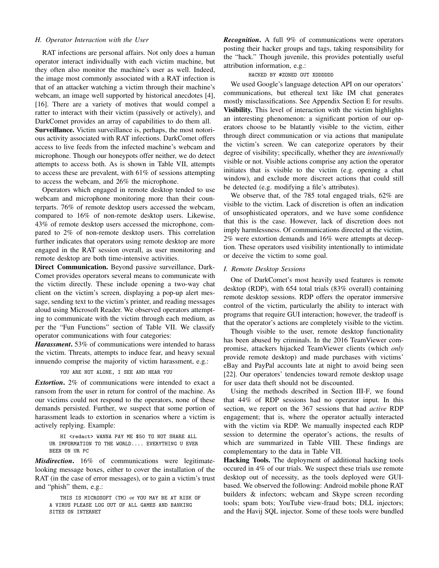## *H. Operator Interaction with the User*

RAT infections are personal affairs. Not only does a human operator interact individually with each victim machine, but they often also monitor the machine's user as well. Indeed, the image most commonly associated with a RAT infection is that of an attacker watching a victim through their machine's webcam, an image well supported by historical anecdotes [4], [16]. There are a variety of motives that would compel a ratter to interact with their victim (passively or actively), and DarkComet provides an array of capabilities to do them all. Surveillance. Victim surveillance is, perhaps, the most notorious activity associated with RAT infections. DarkComet offers access to live feeds from the infected machine's webcam and microphone. Though our honeypots offer neither, we do detect attempts to access both. As is shown in Table VII, attempts to access these are prevalent, with 61% of sessions attempting to access the webcam, and 26% the microphone.

Operators which engaged in remote desktop tended to use webcam and microphone monitoring more than their counterparts. 76% of remote desktop users accessed the webcam, compared to 16% of non-remote desktop users. Likewise, 43% of remote desktop users accessed the microphone, compared to 2% of non-remote desktop users. This correlation further indicates that operators using remote desktop are more engaged in the RAT session overall, as user monitoring and remote desktop are both time-intensive activities.

Direct Communication. Beyond passive surveillance, Dark-Comet provides operators several means to communicate with the victim directly. These include opening a two-way chat client on the victim's screen, displaying a pop-up alert message, sending text to the victim's printer, and reading messages aloud using Microsoft Reader. We observed operators attempting to communicate with the victim through each medium, as per the "Fun Functions" section of Table VII. We classify operator communications with four categories:

*Harassment*. 53% of communications were intended to harass the victim. Threats, attempts to induce fear, and heavy sexual innuendo comprise the majority of victim harassment, e.g.:

## YOU ARE NOT ALONE, I SEE AND HEAR YOU

*Extortion*. 2% of communications were intended to exact a ransom from the user in return for control of the machine. As our victims could not respond to the operators, none of these demands persisted. Further, we suspect that some portion of harassment leads to extortion in scenarios where a victim is actively replying. Example:

HI <redact> WANNA PAY ME \$50 TO NOT SHARE ALL UR IMFORMATION TO THE WORLD.... EVERYTHING U EVER BEEN ON UR PC

*Misdirection*. 16% of communications were legitimatelooking message boxes, either to cover the installation of the RAT (in the case of error messages), or to gain a victim's trust and "phish" them, e.g.:

THIS IS MICROSOFT (TM) or YOU MAY BE AT RISK OF A VIRUS PLEASE LOG OUT OF ALL GAMES AND BANKING SITES ON INTERNET

*Recognition*. A full 9% of communications were operators posting their hacker groups and tags, taking responsibility for the "hack." Though juvenile, this provides potentially useful attribution information, e.g.:

#### HACKED BY #ZONED OUT XDDDDDD

We used Google's language detection API on our operators' communications, but ethereal text like IM chat generates mostly misclassifications. See Appendix Section E for results. Visibility. This level of interaction with the victim highlights an interesting phenomenon: a significant portion of our operators choose to be blatantly visible to the victim, either through direct communication or via actions that manipulate the victim's screen. We can categorize operators by their degree of visibility; specifically, whether they are *intentionally* visible or not. Visible actions comprise any action the operator initiates that is visible to the victim (e.g. opening a chat window), and exclude more discreet actions that could still be detected (e.g. modifying a file's attributes).

We observe that, of the 785 total engaged trials, 62% are visible to the victim. Lack of discretion is often an indication of unsophisticated operators, and we have some confidence that this is the case. However, lack of discretion does not imply harmlessness. Of communications directed at the victim, 2% were extortion demands and 16% were attempts at deception. These operators used visibility intentionally to intimidate or deceive the victim to some goal.

#### *I. Remote Desktop Sessions*

One of DarkComet's most heavily used features is remote desktop (RDP), with 654 total trials (83% overall) containing remote desktop sessions. RDP offers the operator immersive control of the victim, particularly the ability to interact with programs that require GUI interaction; however, the tradeoff is that the operator's actions are completely visible to the victim.

Though visible to the user, remote desktop functionality has been abused by criminals. In the 2016 TeamViewer compromise, attackers hijacked TeamViewer clients (which *only* provide remote desktop) and made purchases with victims' eBay and PayPal accounts late at night to avoid being seen [22]. Our operators' tendencies toward remote desktop usage for user data theft should not be discounted.

Using the methods described in Section III-F, we found that 44% of RDP sessions had no operator input. In this section, we report on the 367 sessions that had *active* RDP engagement; that is, where the operator actually interacted with the victim via RDP. We manually inspected each RDP session to determine the operator's actions, the results of which are summarized in Table VIII. These findings are complementary to the data in Table VII.

Hacking Tools. The deployment of additional hacking tools occured in 4% of our trials. We suspect these trials use remote desktop out of necessity, as the tools deployed were GUIbased. We observed the following: Android mobile phone RAT builders & infectors; webcam and Skype screen recording tools; spam bots; YouTube view-fraud bots; DLL injectors; and the Havij SQL injector. Some of these tools were bundled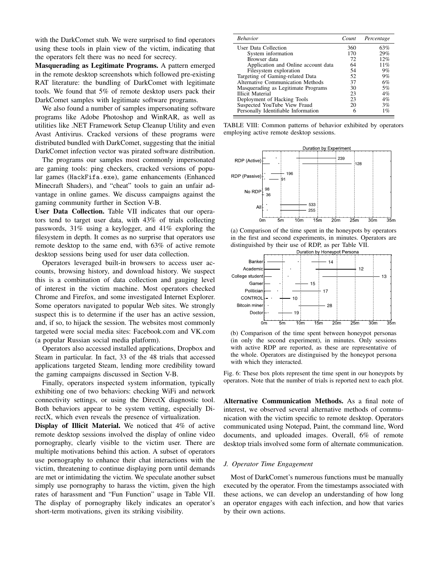with the DarkComet stub. We were surprised to find operators using these tools in plain view of the victim, indicating that the operators felt there was no need for secrecy.

Masquerading as Legitimate Programs. A pattern emerged in the remote desktop screenshots which followed pre-existing RAT literature: the bundling of DarkComet with legitimate tools. We found that 5% of remote desktop users pack their DarkComet samples with legitimate software programs.

We also found a number of samples impersonating software programs like Adobe Photoshop and WinRAR, as well as utilities like .NET Framework Setup Cleanup Utility and even Avast Antivirus. Cracked versions of these programs were distributed bundled with DarkComet, suggesting that the initial DarkComet infection vector was pirated software distribution.

The programs our samples most commonly impersonated are gaming tools: ping checkers, cracked versions of popular games (HackFifa.exe), game enhancements (Enhanced Minecraft Shaders), and "cheat" tools to gain an unfair advantage in online games. We discuss campaigns against the gaming community further in Section V-B.

User Data Collection. Table VII indicates that our operators tend to target user data, with 43% of trials collecting passwords, 31% using a keylogger, and 41% exploring the filesystem in depth. It comes as no surprise that operators use remote desktop to the same end, with 63% of active remote desktop sessions being used for user data collection.

Operators leveraged built-in browsers to access user accounts, browsing history, and download history. We suspect this is a combination of data collection and gauging level of interest in the victim machine. Most operators checked Chrome and Firefox, and some investigated Internet Explorer. Some operators navigated to popular Web sites. We strongly suspect this is to determine if the user has an active session, and, if so, to hijack the session. The websites most commonly targeted were social media sites: Facebook.com and VK.com (a popular Russian social media platform).

Operators also accessed installed applications, Dropbox and Steam in particular. In fact, 33 of the 48 trials that accessed applications targeted Steam, lending more credibility toward the gaming campaigns discussed in Section V-B.

Finally, operators inspected system information, typically exhibiting one of two behaviors: checking WiFi and network connectivity settings, or using the DirectX diagnostic tool. Both behaviors appear to be system vetting, especially DirectX, which even reveals the presence of virtualization.

Display of Illicit Material. We noticed that 4% of active remote desktop sessions involved the display of online video pornography, clearly visible to the victim user. There are multiple motivations behind this action. A subset of operators use pornography to enhance their chat interactions with the victim, threatening to continue displaying porn until demands are met or intimidating the victim. We speculate another subset simply use pornography to harass the victim, given the high rates of harassment and "Fun Function" usage in Table VII. The display of pornography likely indicates an operator's short-term motivations, given its striking visibility.

| <b>Behavior</b>                          | Count | Percentage |
|------------------------------------------|-------|------------|
| User Data Collection                     | 360   | 63%        |
| System information                       | 170   | 29%        |
| Browser data                             | 72    | 12%        |
| Application and Online account data      | 64    | 11%        |
| Filesystem exploration                   | 54    | 9%         |
| Targeting of Gaming-related Data         | 52    | 9%         |
| <b>Alternative Communication Methods</b> | 37    | 6%         |
| Masquerading as Legitimate Programs      | 30    | 5%         |
| <b>Illicit Material</b>                  | 23    | 4%         |
| Deployment of Hacking Tools              | 23    | 4%         |
| Suspected YouTube View Fraud             | 20    | 3%         |
| Personally Identifiable Information      | 6     | $1\%$      |

TABLE VIII: Common patterns of behavior exhibited by operators employing active remote desktop sessions.



(a) Comparison of the time spent in the honeypots by operators in the first and second experiments, in minutes. Operators are distinguished by their use of RDP, as per Table VII.



(b) Comparison of the time spent between honeypot personas (in only the second experiment), in minutes. Only sessions with active RDP are reported, as these are representative of the whole. Operators are distinguised by the honeypot persona with which they interacted.

Fig. 6: These box plots represent the time spent in our honeypots by operators. Note that the number of trials is reported next to each plot.

Alternative Communication Methods. As a final note of interest, we observed several alternative methods of communication with the victim specific to remote desktop. Operators communicated using Notepad, Paint, the command line, Word documents, and uploaded images. Overall, 6% of remote desktop trials involved some form of alternate communication.

#### *J. Operator Time Engagement*

Most of DarkComet's numerous functions must be manually executed by the operator. From the timestamps associated with these actions, we can develop an understanding of how long an operator engages with each infection, and how that varies by their own actions.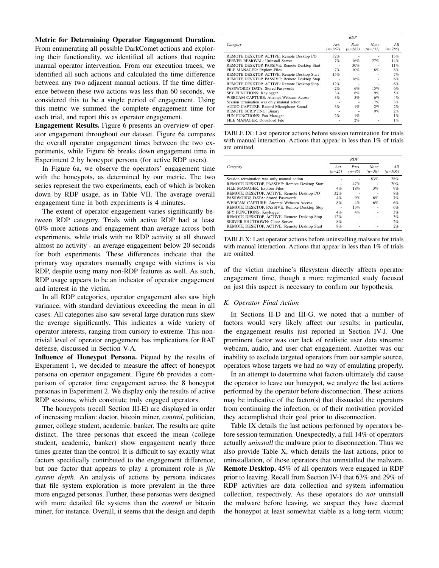# Metric for Determining Operator Engagement Duration.

From enumerating all possible DarkComet actions and exploring their functionality, we identified all actions that require manual operator intervention. From our execution traces, we identified all such actions and calculated the time difference between any two adjacent manual actions. If the time difference between these two actions was less than 60 seconds, we considered this to be a single period of engagement. Using this metric we summed the complete engagement time for each trial, and report this as operator engagement.

Engagement Results. Figure 6 presents an overview of operator engagement throughout our dataset. Figure 6a compares the overall operator engagement times between the two experiments, while Figure 6b breaks down engagement time in Experiment 2 by honeypot persona (for active RDP users).

In Figure 6a, we observe the operators' engagement time with the honeypots, as determined by our metric. The two series represent the two experiments, each of which is broken down by RDP usage, as in Table VII. The average overall engagement time in both experiments is 4 minutes.

The extent of operator engagement varies significantly between RDP category. Trials with active RDP had at least 60% more actions and engagement than average across both experiments, while trials with no RDP activity at all showed almost no activity - an average engagement below 20 seconds for both experiments. These differences indicate that the primary way operators manually engage with victims is via RDP, despite using many non-RDP features as well. As such, RDP usage appears to be an indicator of operator engagement and interest in the victim.

In all RDP categories, operator engagement also saw high variance, with standard deviations exceeding the mean in all cases. All categories also saw several large duration runs skew the average significantly. This indicates a wide variety of operator interests, ranging from cursory to extreme. This nontrivial level of operator engagement has implications for RAT defense, discussed in Section V-A.

Influence of Honeypot Persona. Piqued by the results of Experiment 1, we decided to measure the affect of honeypot persona on operator engagement. Figure 6b provides a comparison of operator time engagement across the 8 honeypot personas in Experiment 2. We display only the results of active RDP sessions, which constitute truly engaged operators.

The honeypots (recall Section III-E) are displayed in order of increasing median: doctor, bitcoin miner, *control*, politician, gamer, college student, academic, banker. The results are quite distinct. The three personas that exceed the mean (college student, academic, banker) show engagement nearly three times greater than the control. It is difficult to say exactly what factors specifically contributed to the engagement difference, but one factor that appears to play a prominent role is *file system depth*. An analysis of actions by persona indicates that file system exploration is more prevalent in the three more engaged personas. Further, these personas were designed with more detailed file systems than the *control* or bitcoin miner, for instance. Overall, it seems that the design and depth

| Category                                      | Act.<br>$(n=367)$ | Pass.<br>$(n=287)$ | None<br>$(n=131)$ | All<br>$(n=785)$ |
|-----------------------------------------------|-------------------|--------------------|-------------------|------------------|
| REMOTE DESKTOP, ACTIVE: Remote Desktop I/O    | 32%               |                    |                   | 15%              |
| SERVER REMOVAL: Uninstall Server              | 7%                | 16%                | 27%               | 14%              |
| REMOTE DESKTOP, PASSIVE: Remote Desktop Start |                   | 30%                |                   | 11%              |
| FILE MANAGER: Explore Files                   | 7%                | 10%                | 8%                | 8%               |
| REMOTE DESKTOP, ACTIVE: Remote Desktop Start  | 15%               |                    |                   | 7%               |
| REMOTE DESKTOP, PASSIVE: Remote Desktop Stop  |                   | 16%                |                   | 6%               |
| REMOTE DESKTOP, ACTIVE: Remote Desktop Stop   | 12%               |                    |                   | 6%               |
| PASSWORDS DATA: Stored Passwords              | 2%                | 6%                 | 15%               | 6%               |
| SPY FUNCTIONS: Keylogger                      | 3%                | 6%                 | 9%                | 5%               |
| WEBCAM CAPTURE: Attempt Webcam Access         | 3%                | 5%                 | 6%                | 4%               |
| Session termination was only manual action    |                   |                    | 17%               | 3%               |
| AUDIO CAPTURE: Record Microphone Sound        | 3%                | 1%                 | 2%                | 2%               |
| <b>REMOTE SCRIPTING: Binary</b>               |                   |                    | 9%                | 2%               |
| FUN FUNCTIONS: Fun Manager                    | 2%                | 1%                 |                   | 1%               |
| FILE MANAGER: Download File                   |                   | 2%                 |                   | 1%               |

TABLE IX: Last operator actions before session termination for trials with manual interaction. Actions that appear in less than 1% of trials are omitted.

|                                               |                  | RDP               |                  |                  |
|-----------------------------------------------|------------------|-------------------|------------------|------------------|
| Category                                      | Act.<br>$(n=25)$ | Pass.<br>$(n=45)$ | None<br>$(n=36)$ | All<br>$(n=106)$ |
| Session termination was only manual action    |                  |                   | 83%              | 28%              |
| REMOTE DESKTOP, PASSIVE: Remote Desktop Start |                  | 47%               |                  | 20%              |
| FILE MANAGER: Explore Files                   | 4%               | 18%               | 3%               | 9%               |
| REMOTE DESKTOP, ACTIVE: Remote Desktop I/O    | 32%              |                   |                  | 8%               |
| PASSWORDS DATA: Stored Passwords              | 4%               | 9%                | 6%               | 7%               |
| WEBCAM CAPTURE: Attempt Webcam Access         | 8%               | 4%                | 6%               | 6%               |
| REMOTE DESKTOP, PASSIVE: Remote Desktop Stop  |                  | 13%               |                  | 6%               |
| SPY FUNCTIONS: Keylogger                      | 4%               | 4%                |                  | 3%               |
| REMOTE DESKTOP, ACTIVE: Remote Desktop Stop   | 12%              |                   |                  | 3%               |
| SERVER SHUTDOWN: Close Server                 | 8%               |                   |                  | 2%               |
| REMOTE DESKTOP, ACTIVE: Remote Desktop Start  | 8%               |                   |                  | 2%               |

TABLE X: Last operator actions before uninstalling malware for trials with manual interaction. Actions that appear in less than 1% of trials are omitted.

of the victim machine's filesystem directly affects operator engagement time, though a more regimented study focused on just this aspect is necessary to confirm our hypothesis.

## *K. Operator Final Action*

In Sections II-D and III-G, we noted that a number of factors would very likely affect our results; in particular, the engagement results just reported in Section IV-J. One prominent factor was our lack of realistic user data streams: webcam, audio, and user chat engagement. Another was our inability to exclude targeted operators from our sample source, operators whose targets we had no way of emulating properly.

In an attempt to determine what factors ultimately did cause the operator to leave our honeypot, we analyze the last actions performed by the operator before disconnection. These actions may be indicative of the factor(s) that dissuaded the operators from continuing the infection, or of their motivation provided they accomplished their goal prior to disconnection.

Table IX details the last actions performed by operators before session termination. Unexpectedly, a full 14% of operators actually *uninstall* the malware prior to disconnection. Thus we also provide Table X, which details the last actions, prior to uninstallation, of those operators that uninstalled the malware. Remote Desktop. 45% of all operators were engaged in RDP prior to leaving. Recall from Section IV-I that 63% and 29% of RDP activities are data collection and system information collection, respectively. As these operators do *not* uninstall the malware before leaving, we suspect they have deemed the honeypot at least somewhat viable as a long-term victim;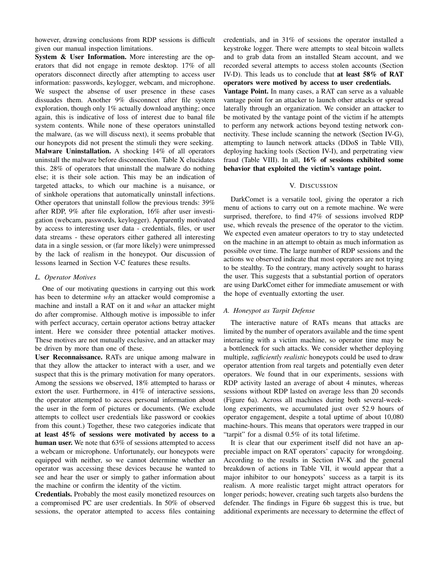however, drawing conclusions from RDP sessions is difficult given our manual inspection limitations.

System & User Information. More interesting are the operators that did not engage in remote desktop. 17% of all operators disconnect directly after attempting to access user information: passwords, keylogger, webcam, and microphone. We suspect the absense of user presence in these cases dissuades them. Another 9% disconnect after file system exploration, though only 1% actually download anything; once again, this is indicative of loss of interest due to banal file system contents. While none of these operators uninstalled the malware, (as we will discuss next), it seems probable that our honeypots did not present the stimuli they were seeking. Malware Uninstallation. A shocking 14% of all operators uninstall the malware before disconnection. Table X elucidates this. 28% of operators that uninstall the malware do nothing else; it is their sole action. This may be an indication of targeted attacks, to which our machine is a nuisance, or of sinkhole operations that automatically uninstall infections. Other operators that uninstall follow the previous trends: 39% after RDP, 9% after file exploration, 16% after user investigation (webcam, passwords, keylogger). Apparently motivated by access to interesting user data - credentials, files, or user data streams - these operators either gathered all interesting data in a single session, or (far more likely) were unimpressed by the lack of realism in the honeypot. Our discussion of lessons learned in Section V-C features these results.

#### *L. Operator Motives*

One of our motivating questions in carrying out this work has been to determine *why* an attacker would compromise a machine and install a RAT on it and *what* an attacker might do after compromise. Although motive is impossible to infer with perfect accuracy, certain operator actions betray attacker intent. Here we consider three potential attacker motives. These motives are not mutually exclusive, and an attacker may be driven by more than one of these.

User Reconnaissance. RATs are unique among malware in that they allow the attacker to interact with a user, and we suspect that this is the primary motivation for many operators. Among the sessions we observed, 18% attempted to harass or extort the user. Furthermore, in 41% of interactive sessions, the operator attempted to access personal information about the user in the form of pictures or documents. (We exclude attempts to collect user credentials like password or cookies from this count.) Together, these two categories indicate that at least 45% of sessions were motivated by access to a human user. We note that 63% of sessions attempted to access a webcam or microphone. Unfortunately, our honeypots were equipped with neither, so we cannot determine whether an operator was accessing these devices because he wanted to see and hear the user or simply to gather information about the machine or confirm the identity of the victim.

Credentials. Probably the most easily monetized resources on a compromised PC are user credentials. In 50% of observed sessions, the operator attempted to access files containing credentials, and in 31% of sessions the operator installed a keystroke logger. There were attempts to steal bitcoin wallets and to grab data from an installed Steam account, and we recorded several attempts to access stolen accounts (Section IV-D). This leads us to conclude that at least 58% of RAT operators were motived by access to user credentials.

Vantage Point. In many cases, a RAT can serve as a valuable vantage point for an attacker to launch other attacks or spread laterally through an organization. We consider an attacker to be motivated by the vantage point of the victim if he attempts to perform any network actions beyond testing network connectivity. These include scanning the network (Section IV-G), attempting to launch network attacks (DDoS in Table VII), deploying hacking tools (Section IV-I), and perpetrating view fraud (Table VIII). In all, 16% of sessions exhibited some behavior that exploited the victim's vantage point.

## V. DISCUSSION

DarkComet is a versatile tool, giving the operator a rich menu of actions to carry out on a remote machine. We were surprised, therefore, to find 47% of sessions involved RDP use, which reveals the presence of the operator to the victim. We expected even amateur operators to try to stay undetected on the machine in an attempt to obtain as much information as possible over time. The large number of RDP sessions and the actions we observed indicate that most operators are not trying to be stealthy. To the contrary, many actively sought to harass the user. This suggests that a substantial portion of operators are using DarkComet either for immediate amusement or with the hope of eventually extorting the user.

## *A. Honeypot as Tarpit Defense*

The interactive nature of RATs means that attacks are limited by the number of operators available and the time spent interacting with a victim machine, so operator time may be a bottleneck for such attacks. We consider whether deploying multiple, *sufficiently realistic* honeypots could be used to draw operator attention from real targets and potentially even deter operators. We found that in our experiments, sessions with RDP activity lasted an average of about 4 minutes, whereas sessions without RDP lasted on average less than 20 seconds (Figure 6a). Across all machines during both several-weeklong experiments, we accumulated just over 52.9 hours of operator engagement, despite a total uptime of about 10,080 machine-hours. This means that operators were trapped in our "tarpit" for a dismal 0.5% of its total lifetime.

It is clear that our experiment itself did not have an appreciable impact on RAT operators' capacity for wrongdoing. According to the results in Section IV-K and the general breakdown of actions in Table VII, it would appear that a major inhibitor to our honeypots' success as a tarpit is its realism. A more realistic target might attract operators for longer periods; however, creating such targets also burdens the defender. The findings in Figure 6b suggest this is true, but additional experiments are necessary to determine the effect of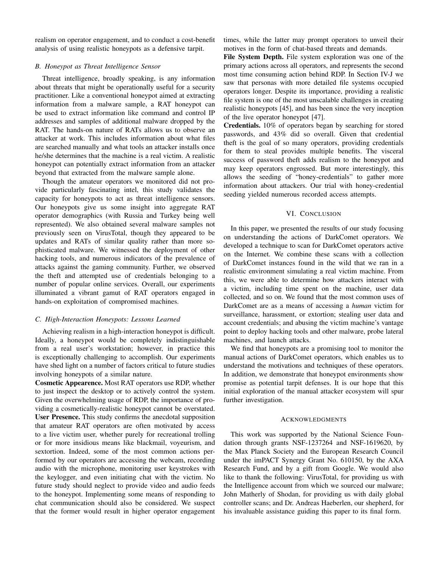realism on operator engagement, and to conduct a cost-benefit analysis of using realistic honeypots as a defensive tarpit.

## *B. Honeypot as Threat Intelligence Sensor*

Threat intelligence, broadly speaking, is any information about threats that might be operationally useful for a security practitioner. Like a conventional honeypot aimed at extracting information from a malware sample, a RAT honeypot can be used to extract information like command and control IP addresses and samples of additional malware dropped by the RAT. The hands-on nature of RATs allows us to observe an attacker at work. This includes information about what files are searched manually and what tools an attacker installs once he/she determines that the machine is a real victim. A realistic honeypot can potentially extract information from an attacker beyond that extracted from the malware sample alone.

Though the amateur operators we monitored did not provide particularly fascinating intel, this study validates the capacity for honeypots to act as threat intelligence sensors. Our honeypots give us some insight into aggregate RAT operator demographics (with Russia and Turkey being well represented). We also obtained several malware samples not previously seen on VirusTotal, though they appeared to be updates and RATs of similar quality rather than more sophisticated malware. We witnessed the deployment of other hacking tools, and numerous indicators of the prevalence of attacks against the gaming community. Further, we observed the theft and attempted use of credentials belonging to a number of popular online services. Overall, our experiments illuminated a vibrant gamut of RAT operators engaged in hands-on exploitation of compromised machines.

## *C. High-Interaction Honeypots: Lessons Learned*

Achieving realism in a high-interaction honeypot is difficult. Ideally, a honeypot would be completely indistinguishable from a real user's workstation; however, in practice this is exceptionally challenging to accomplish. Our experiments have shed light on a number of factors critical to future studies involving honeypots of a similar nature.

Cosmetic Appearence. Most RAT operators use RDP, whether to just inspect the desktop or to actively control the system. Given the overwhelming usage of RDP, the importance of providing a cosmetically-realistic honeypot cannot be overstated. User Presence. This study confirms the anecdotal supposition that amateur RAT operators are often motivated by access to a live victim user, whether purely for recreational trolling or for more insidious means like blackmail, voyeurism, and sextortion. Indeed, some of the most common actions performed by our operators are accessing the webcam, recording audio with the microphone, monitoring user keystrokes with the keylogger, and even initiating chat with the victim. No future study should neglect to provide video and audio feeds to the honeypot. Implementing some means of responding to chat communication should also be considered. We suspect that the former would result in higher operator engagement times, while the latter may prompt operators to unveil their motives in the form of chat-based threats and demands.

File System Depth. File system exploration was one of the primary actions across all operators, and represents the second most time consuming action behind RDP. In Section IV-J we saw that personas with more detailed file systems occupied operators longer. Despite its importance, providing a realistic file system is one of the most unscalable challenges in creating realistic honeypots [45], and has been since the very inception of the live operator honeypot [47].

Credentials. 10% of operators began by searching for stored passwords, and 43% did so overall. Given that credential theft is the goal of so many operators, providing credentials for them to steal provides multiple benefits. The visceral success of password theft adds realism to the honeypot and may keep operators engrossed. But more interestingly, this allows the seeding of "honey-credentials" to gather more information about attackers. Our trial with honey-credential seeding yielded numerous recorded access attempts.

#### VI. CONCLUSION

In this paper, we presented the results of our study focusing on understanding the actions of DarkComet operators. We developed a technique to scan for DarkComet operators active on the Internet. We combine these scans with a collection of DarkComet instances found in the wild that we ran in a realistic environment simulating a real victim machine. From this, we were able to determine how attackers interact with a victim, including time spent on the machine, user data collected, and so on. We found that the most common uses of DarkComet are as a means of accessing a *human* victim for surveillance, harassment, or extortion; stealing user data and account credentials; and abusing the victim machine's vantage point to deploy hacking tools and other malware, probe lateral machines, and launch attacks.

We find that honeypots are a promising tool to monitor the manual actions of DarkComet operators, which enables us to understand the motivations and techniques of these operators. In addition, we demonstrate that honeypot environments show promise as potential tarpit defenses. It is our hope that this initial exploration of the manual attacker ecosystem will spur further investigation.

#### ACKNOWLEDGMENTS

This work was supported by the National Science Foundation through grants NSF-1237264 and NSF-1619620, by the Max Planck Society and the European Research Council under the imPACT Synergy Grant No. 610150, by the AXA Research Fund, and by a gift from Google. We would also like to thank the following: VirusTotal, for providing us with the Intelligence account from which we sourced our malware; John Matherly of Shodan, for providing us with daily global controller scans; and Dr. Andreas Haeberlen, our shepherd, for his invaluable assistance guiding this paper to its final form.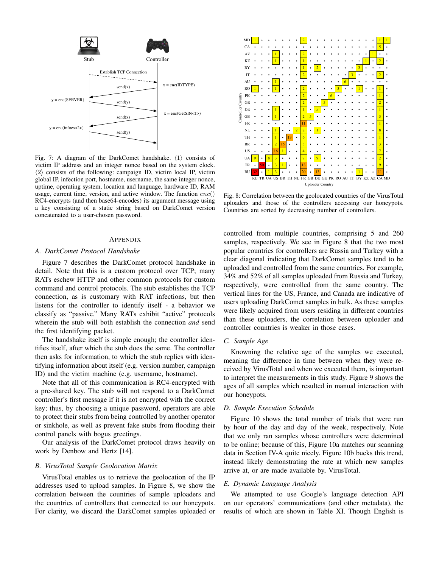

Fig. 7: A diagram of the DarkComet handshake.  $\langle 1 \rangle$  consists of victim IP address and an integer nonce based on the system clock.  $\langle 2 \rangle$  consists of the following: campaign ID, victim local IP, victim global IP, infection port, hostname, username, the same integer nonce, uptime, operating system, location and language, hardware ID, RAM usage, current time, version, and active window. The function  $enc()$ RC4-encrypts (and then base64-encodes) its argument message using a key consisting of a static string based on DarkComet version concatenated to a user-chosen password.

#### **APPENDIX**

#### *A. DarkComet Protocol Handshake*

Figure 7 describes the DarkComet protocol handshake in detail. Note that this is a custom protocol over TCP; many RATs eschew HTTP and other common protocols for custom command and control protocols. The stub establishes the TCP connection, as is customary with RAT infections, but then listens for the controller to identify itself - a behavior we classify as "passive." Many RATs exhibit "active" protocols wherein the stub will both establish the connection *and* send the first identifying packet.

The handshake itself is simple enough; the controller identifies itself, after which the stub does the same. The controller then asks for information, to which the stub replies with identifying information about itself (e.g. version number, campaign ID) and the victim machine (e.g. username, hostname).

Note that all of this communication is RC4-encrypted with a pre-shared key. The stub will not respond to a DarkComet controller's first message if it is not encrypted with the correct key; thus, by choosing a unique password, operators are able to protect their stubs from being controlled by another operator or sinkhole, as well as prevent fake stubs from flooding their control panels with bogus greetings.

Our analysis of the DarkComet protocol draws heavily on work by Denbow and Hertz [14].

## *B. VirusTotal Sample Geolocation Matrix*

VirusTotal enables us to retrieve the geolocation of the IP addresses used to upload samples. In Figure 8, we show the correlation between the countries of sample uploaders and the countries of controllers that connected to our honeypots. For clarity, we discard the DarkComet samples uploaded or



Fig. 8: Correlation between the geolocated countries of the VirusTotal uploaders and those of the controllers accessing our honeypots. Countries are sorted by decreasing number of controllers.

controlled from multiple countries, comprising 5 and 260 samples, respectively. We see in Figure 8 that the two most popular countries for controllers are Russia and Turkey with a clear diagonal indicating that DarkComet samples tend to be uploaded and controlled from the same countries. For example, 34% and 52% of all samples uploaded from Russia and Turkey, respectively, were controlled from the same country. The vertical lines for the US, France, and Canada are indicative of users uploading DarkComet samples in bulk. As these samples were likely acquired from users residing in different countries than these uploaders, the correlation between uploader and controller countries is weaker in those cases.

#### *C. Sample Age*

Knowning the relative age of the samples we executed, meaning the difference in time between when they were received by VirusTotal and when we executed them, is important to interpret the measurements in this study. Figure 9 shows the ages of all samples which resulted in manual interaction with our honeypots.

#### *D. Sample Execution Schedule*

Figure 10 shows the total number of trials that were run by hour of the day and day of the week, respectively. Note that we only ran samples whose controllers were determined to be online; because of this, Figure 10a matches our scanning data in Section IV-A quite nicely. Figure 10b bucks this trend, instead likely demonstrating the rate at which new samples arrive at, or are made available by, VirusTotal.

#### *E. Dynamic Language Analysis*

We attempted to use Google's language detection API on our operators' communications (and other metadata), the results of which are shown in Table XI. Though English is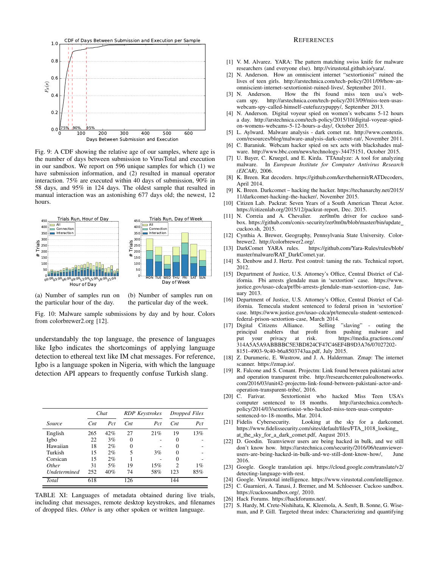

Fig. 9: A CDF showing the relative age of our samples, where age is the number of days between submission to VirusTotal and execution in our sandbox. We report on 596 unique samples for which (1) we have submission information, and (2) resulted in manual operator interaction. 75% are executed within 40 days of submission, 90% in 58 days, and 95% in 124 days. The oldest sample that resulted in manual interaction was an astonishing 677 days old; the newest, 12 hours.



(a) Number of samples run on the particular hour of the day.

(b) Number of samples run on the particular day of the week.

Fig. 10: Malware sample submissions by day and by hour. Colors from colorbrewer2.org [12].

understandably the top language, the presence of languages like Igbo indicates the shortcomings of applying language detection to ethereal text like IM chat messages. For reference, Igbo is a language spoken in Nigeria, with which the language detection API appears to frequently confuse Turkish slang.

|                     |     | Chat | <b>RDP</b> Keystrokes |     |          | Dropped Files |
|---------------------|-----|------|-----------------------|-----|----------|---------------|
| Source              | Cnt | Pct  | Cnt                   | Pct | Cnt      | Pct           |
| English             | 265 | 42%  | 27                    | 21% | 19       | 13%           |
| Igbo                | 22  | 3%   | 0                     |     | $\Omega$ |               |
| Hawaiian            | 18  | 2%   | 0                     |     | 0        |               |
| Turkish             | 15  | 2%   | 5                     | 3%  |          |               |
| Corsican            | 15  | 2%   |                       |     | $\Omega$ |               |
| Other               | 31  | 5%   | 19                    | 15% | 2        | 1%            |
| <b>Undetermined</b> | 252 | 40%  | 74                    | 58% | 123      | 85%           |
| Total               | 618 |      | 126                   |     | 144      |               |

TABLE XI: Languages of metadata obtained during live trials, including chat messages, remote desktop keystrokes, and filenames of dropped files. *Other* is any other spoken or written language.

#### **REFERENCES**

- [1] V. M. Alvarez. YARA: The pattern matching swiss knife for malware researchers (and everyone else). http://virustotal.github.io/yara/.
- [2] N. Anderson. How an omniscient internet "sextortionist" ruined the lives of teen girls. http://arstechnica.com/tech-policy/2011/09/how-anomniscient-internet-sextortionist-ruined-lives/, September 2011.
- [3] N. Anderson. How the fbi found miss teen usa's webcam spy. http://arstechnica.com/tech-policy/2013/09/miss-teen-usaswebcam-spy-called-himself-cutefuzzypuppy/, September 2013.
- [4] N. Anderson. Digital voyeur spied on women's webcams 5-12 hours a day. http://arstechnica.com/tech-policy/2015/10/digital-voyeur-spiedon-womens-webcams-5-12-hours-a-day/, October 2015.
- [5] L. Aylward. Malware analysis dark comet rat. http://www.contextis. com/resources/blog/malware-analysis-dark-comet-rat/, November 2011.
- [6] C. Baraniuk. Webcam hacker spied on sex acts with blackshades malware. http://www.bbc.com/news/technology-34475151, October 2015.
- [7] U. Bayer, C. Kruegel, and E. Kirda. TTAnalyze: A tool for analyzing malware. In *European Institute for Computer Antivirus Research (EICAR)*, 2006.
- [8] K. Breen. Rat decoders. https://github.com/kevthehermit/RATDecoders, April 2014.
- [9] K. Breen. Darkcomet hacking the hacker. https://techanarchy.net/2015/ 11/darkcomet-hacking-the-hacker/, November 2015.
- [10] Citizen Lab. Packrat: Seven Years of a South American Threat Actor. https://citizenlab.org/2015/12/packrat-report, Dec. 2015.
- [11] N. Correia and A. Chevalier. zer0m0n driver for cuckoo sandbox. https://github.com/conix-security/zer0m0n/blob/master/bin/update cuckoo.sh, 2015.
- [12] Cynthia A. Brewer, Geography, Pennsylvania State University. Colorbrewer2. http://colorbrewer2.org/.<br>[13] DarkComet YARA rules. http://
- https://github.com/Yara-Rules/rules/blob/ master/malware/RAT DarkComet.yar.
- [14] S. Denbow and J. Hertz. Pest control: taming the rats. Technical report, 2012.
- [15] Department of Justice, U.S. Attorney's Office, Central District of California. Fbi arrests glendale man in 'sextortion' case. https://www. justice.gov/usao-cdca/pr/fbi-arrests-glendale-man-sextortion-case, January 2013.
- [16] Department of Justice, U.S. Attorney's Office, Central District of California. Temecula student sentenced to federal prison in 'sextortion' case. https://www.justice.gov/usao-cdca/pr/temecula-student-sentencedfederal-prison-sextortion-case, March 2014.
- [17] Digital Citizens Alliance. Selling "slaving" outing the principal enablers that profit from pushing malware and<br>put your privacy at risk. https://media.gractions.com/ put your privacy at risk. https://media.gractions.com/ 314A5A5A9ABBBBC5E3BD824CF47C46EF4B9D3A76/07027202- 8151-4903-9c40-b6a8503743aa.pdf, July 2015.
- [18] Z. Durumeric, E. Wustrow, and J. A. Halderman. Zmap: The internet scanner. https://zmap.io/.
- [19] R. Falcone and S. Conant. Projectm: Link found between pakistani actor and operation transparent tribe. http://researchcenter.paloaltonetworks. com/2016/03/unit42-projectm-link-found-between-pakistani-actor-andoperation-transparent-tribe/, 2016.<br>[20] C. Farivar. Sextortionist
- Sextortionist who hacked Miss Teen USA's computer sentenced to 18 months. http://arstechnica.com/techpolicy/2014/03/sextortionist-who-hacked-miss-teen-usas-computersentenced-to-18-months, Mar. 2014.
- [21] Fidelis Cybersecurity. Looking at the sky for a darkcomet. https://www.fidelissecurity.com/sites/default/files/FTA\_1018\_looking\_ at\_the\_sky\_for\_a\_dark\_comet.pdf, August 2015.
- [22] D. Goodin. Teamviewer users are being hacked in bulk, and we still don't know how. https://arstechnica.com/security/2016/06/teamviewerusers-are-being-hacked-in-bulk-and-we-still-dont-know-how/, June 2016.
- [23] Google. Google translation api. https://cloud.google.com/translate/v2/ detecting-language-with-rest.
- [24] Google. Virustotal intelligence. https://www.virustotal.com/intelligence.
- [25] C. Guarnieri, A. Tanasi, J. Bremer, and M. Schloesser. Cuckoo sandbox. https://cuckoosandbox.org/, 2010.
- [26] Hack Forums. https://hackforums.net/.
- [27] S. Hardy, M. Crete-Nishihata, K. Kleemola, A. Senft, B. Sonne, G. Wiseman, and P. Gill. Targeted threat index: Characterizing and quantifying